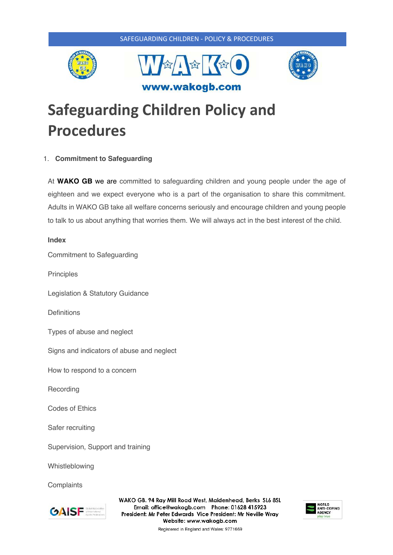





# **Safeguarding Children Policy and Procedures**

## 1. **Commitment to Safeguarding**

At **WAKO GB** we are committed to safeguarding children and young people under the age of eighteen and we expect everyone who is a part of the organisation to share this commitment. Adults in WAKO GB take all welfare concerns seriously and encourage children and young people to talk to us about anything that worries them. We will always act in the best interest of the child.

# **Index** Commitment to Safeguarding **Principles** Legislation & Statutory Guidance **Definitions** Types of abuse and neglect Signs and indicators of abuse and neglect How to respond to a concern Recording Codes of Ethics Safer recruiting Supervision, Support and training Whistleblowing

**Complaints** 



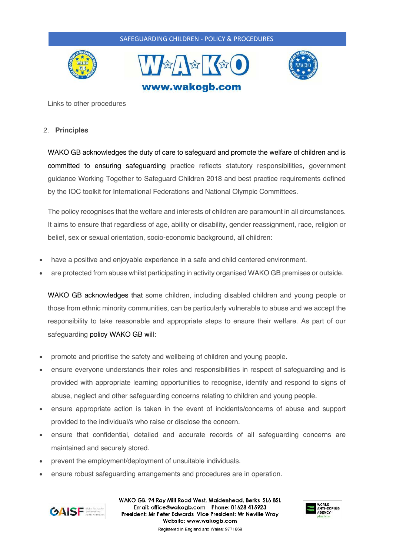







Links to other procedures

## 2. **Principles**

WAKO GB acknowledges the duty of care to safeguard and promote the welfare of children and is committed to ensuring safeguarding practice reflects statutory responsibilities, government guidance Working Together to Safeguard Children 2018 and best practice requirements defined by the IOC toolkit for International Federations and National Olympic Committees.

The policy recognises that the welfare and interests of children are paramount in all circumstances. It aims to ensure that regardless of age, ability or disability, gender reassignment, race, religion or belief, sex or sexual orientation, socio-economic background, all children:

- have a positive and enjoyable experience in a safe and child centered environment.
- are protected from abuse whilst participating in activity organised WAKO GB premises or outside.

WAKO GB acknowledges that some children, including disabled children and young people or those from ethnic minority communities, can be particularly vulnerable to abuse and we accept the responsibility to take reasonable and appropriate steps to ensure their welfare. As part of our safeguarding policy WAKO GB will:

- promote and prioritise the safety and wellbeing of children and young people.
- ensure everyone understands their roles and responsibilities in respect of safeguarding and is provided with appropriate learning opportunities to recognise, identify and respond to signs of abuse, neglect and other safeguarding concerns relating to children and young people.
- ensure appropriate action is taken in the event of incidents/concerns of abuse and support provided to the individual/s who raise or disclose the concern.
- ensure that confidential, detailed and accurate records of all safeguarding concerns are maintained and securely stored.
- prevent the employment/deployment of unsuitable individuals.
- ensure robust safeguarding arrangements and procedures are in operation.



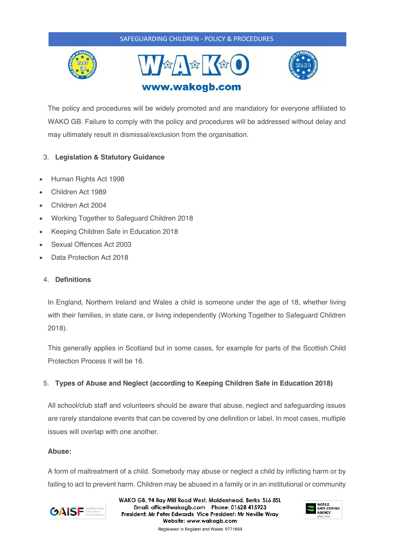





The policy and procedures will be widely promoted and are mandatory for everyone affiliated to WAKO GB. Failure to comply with the policy and procedures will be addressed without delay and may ultimately result in dismissal/exclusion from the organisation.

## 3. **Legislation & Statutory Guidance**

- Human Rights Act 1998
- Children Act 1989
- Children Act 2004
- Working Together to Safeguard Children 2018
- Keeping Children Safe in Education 2018
- Sexual Offences Act 2003
- Data Protection Act 2018

## 4. **Definitions**

In England, Northern Ireland and Wales a child is someone under the age of 18, whether living with their families, in state care, or living independently (Working Together to Safeguard Children 2018).

This generally applies in Scotland but in some cases, for example for parts of the Scottish Child Protection Process it will be 16.

## 5. **Types of Abuse and Neglect (according to Keeping Children Safe in Education 2018)**

All school/club staff and volunteers should be aware that abuse, neglect and safeguarding issues are rarely standalone events that can be covered by one definition or label. In most cases, multiple issues will overlap with one another.

## **Abuse:**

A form of maltreatment of a child. Somebody may abuse or neglect a child by inflicting harm or by failing to act to prevent harm. Children may be abused in a family or in an institutional or community



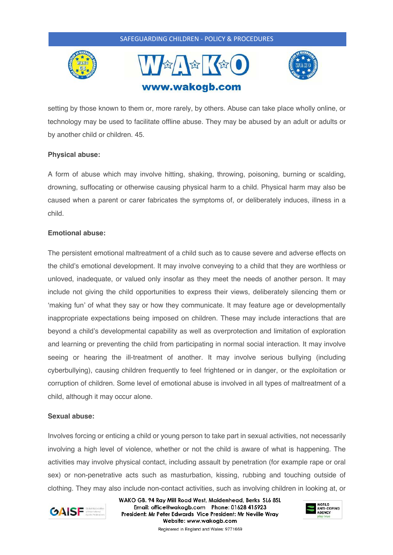





setting by those known to them or, more rarely, by others. Abuse can take place wholly online, or technology may be used to facilitate offline abuse. They may be abused by an adult or adults or by another child or children. 45.

#### **Physical abuse:**

A form of abuse which may involve hitting, shaking, throwing, poisoning, burning or scalding, drowning, suffocating or otherwise causing physical harm to a child. Physical harm may also be caused when a parent or carer fabricates the symptoms of, or deliberately induces, illness in a child.

#### **Emotional abuse:**

The persistent emotional maltreatment of a child such as to cause severe and adverse effects on the child's emotional development. It may involve conveying to a child that they are worthless or unloved, inadequate, or valued only insofar as they meet the needs of another person. It may include not giving the child opportunities to express their views, deliberately silencing them or 'making fun' of what they say or how they communicate. It may feature age or developmentally inappropriate expectations being imposed on children. These may include interactions that are beyond a child's developmental capability as well as overprotection and limitation of exploration and learning or preventing the child from participating in normal social interaction. It may involve seeing or hearing the ill-treatment of another. It may involve serious bullying (including cyberbullying), causing children frequently to feel frightened or in danger, or the exploitation or corruption of children. Some level of emotional abuse is involved in all types of maltreatment of a child, although it may occur alone.

#### **Sexual abuse:**

Involves forcing or enticing a child or young person to take part in sexual activities, not necessarily involving a high level of violence, whether or not the child is aware of what is happening. The activities may involve physical contact, including assault by penetration (for example rape or oral sex) or non-penetrative acts such as masturbation, kissing, rubbing and touching outside of clothing. They may also include non-contact activities, such as involving children in looking at, or



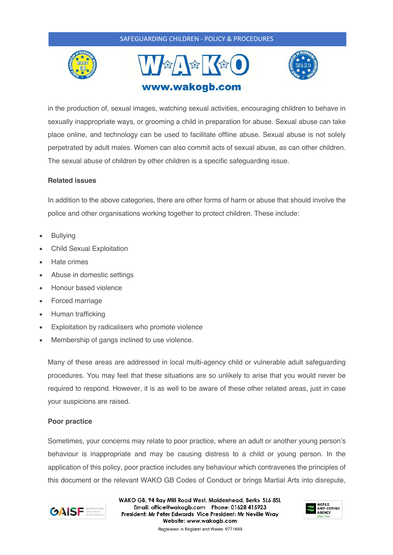





in the production of, sexual images, watching sexual activities, encouraging children to behave in sexually inappropriate ways, or grooming a child in preparation for abuse. Sexual abuse can take place online, and technology can be used to facilitate offline abuse. Sexual abuse is not solely perpetrated by adult males. Women can also commit acts of sexual abuse, as can other children. The sexual abuse of children by other children is a specific safeguarding issue.

### **Related issues**

In addition to the above categories, there are other forms of harm or abuse that should involve the police and other organisations working together to protect children. These include:

- **Bullving**
- Child Sexual Exploitation
- Hate crimes
- Abuse in domestic settings
- Honour based violence
- Forced marriage
- Human trafficking
- Exploitation by radicalisers who promote violence
- Membership of gangs inclined to use violence.

Many of these areas are addressed in local multi-agency child or vulnerable adult safeguarding procedures. You may feel that these situations are so unlikely to arise that you would never be required to respond. However, it is as well to be aware of these other related areas, just in case your suspicions are raised.

### **Poor practice**

Sometimes, your concerns may relate to poor practice, where an adult or another young person's behaviour is inappropriate and may be causing distress to a child or young person. In the application of this policy, poor practice includes any behaviour which contravenes the principles of this document or the relevant WAKO GB Codes of Conduct or brings Martial Arts into disrepute,



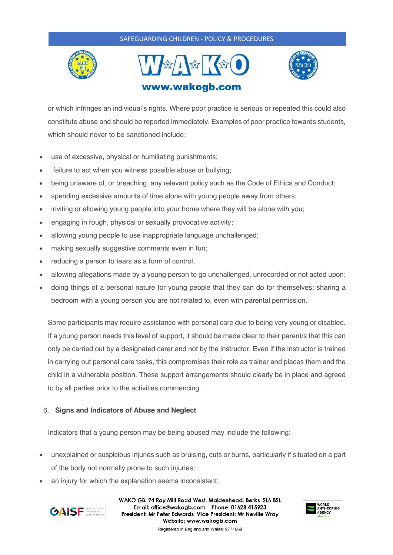





or which infringes an individual's rights. Where poor practice is serious or repeated this could also constitute abuse and should be reported immediately. Examples of poor practice towards students, which should never to be sanctioned include:

- use of excessive, physical or humiliating punishments;
- failure to act when you witness possible abuse or bullying;
- being unaware of, or breaching, any relevant policy such as the Code of Ethics and Conduct;
- spending excessive amounts of time alone with young people away from others;
- inviting or allowing young people into your home where they will be alone with you;
- engaging in rough, physical or sexually provocative activity;
- allowing young people to use inappropriate language unchallenged;
- making sexually suggestive comments even in fun;
- reducing a person to tears as a form of control;
- allowing allegations made by a young person to go unchallenged, unrecorded or not acted upon;
- doing things of a personal nature for young people that they can do for themselves; sharing a bedroom with a young person you are not related to, even with parental permission.

Some participants may require assistance with personal care due to being very young or disabled. If a young person needs this level of support, it should be made clear to their parent/s that this can only be carried out by a designated carer and not by the instructor. Even if the instructor is trained in carrying out personal care tasks, this compromises their role as trainer and places them and the child in a vulnerable position. These support arrangements should clearly be in place and agreed to by all parties prior to the activities commencing.

# 6. **Signs and Indicators of Abuse and Neglect**

Indicators that a young person may be being abused may include the following:

- unexplained or suspicious injuries such as bruising, cuts or burns, particularly if situated on a part of the body not normally prone to such injuries;
- an injury for which the explanation seems inconsistent;



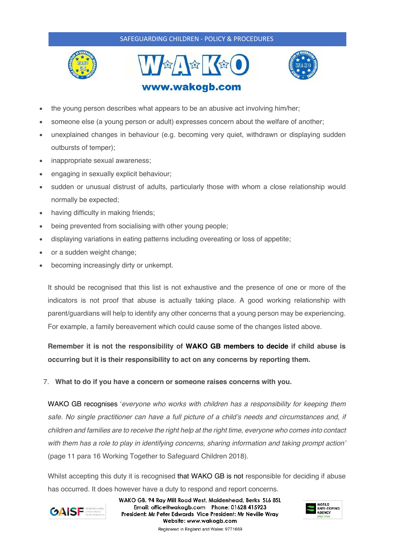





- the young person describes what appears to be an abusive act involving him/her;
- someone else (a young person or adult) expresses concern about the welfare of another;
- unexplained changes in behaviour (e.g. becoming very quiet, withdrawn or displaying sudden outbursts of temper);
- inappropriate sexual awareness;
- engaging in sexually explicit behaviour;
- sudden or unusual distrust of adults, particularly those with whom a close relationship would normally be expected;
- having difficulty in making friends;
- being prevented from socialising with other young people;
- displaying variations in eating patterns including overeating or loss of appetite;
- or a sudden weight change;
- becoming increasingly dirty or unkempt.

It should be recognised that this list is not exhaustive and the presence of one or more of the indicators is not proof that abuse is actually taking place. A good working relationship with parent/guardians will help to identify any other concerns that a young person may be experiencing. For example, a family bereavement which could cause some of the changes listed above.

**Remember it is not the responsibility of WAKO GB members to decide if child abuse is occurring but it is their responsibility to act on any concerns by reporting them.** 

### 7. **What to do if you have a concern or someone raises concerns with you.**

WAKO GB recognises 'everyone who works with children has a responsibility for keeping them safe. No single practitioner can have a full picture of a child's needs and circumstances and, if children and families are to receive the right help at the right time, everyone who comes into contact with them has a role to play in identifying concerns, sharing information and taking prompt action' (page 11 para 16 Working Together to Safeguard Children 2018).

Whilst accepting this duty it is recognised that WAKO GB is not responsible for deciding if abuse has occurred. It does however have a duty to respond and report concerns.



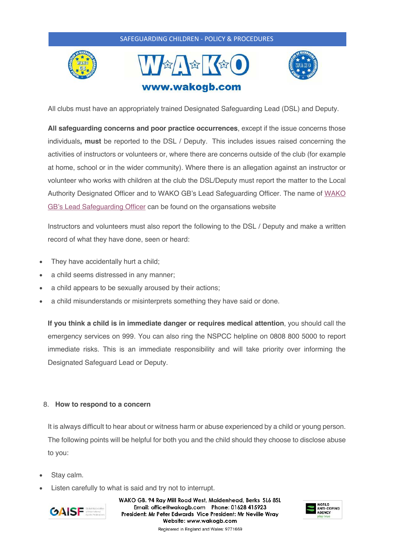





All clubs must have an appropriately trained Designated Safeguarding Lead (DSL) and Deputy.

**All safeguarding concerns and poor practice occurrences**, except if the issue concerns those individuals**, must** be reported to the DSL / Deputy. This includes issues raised concerning the activities of instructors or volunteers or, where there are concerns outside of the club (for example at home, school or in the wider community). Where there is an allegation against an instructor or volunteer who works with children at the club the DSL/Deputy must report the matter to the Local Authority Designated Officer and to WAKO GB's Lead Safeguarding Officer. The name of WAKO GB's Lead Safeguarding Officer can be found on the organsations website

Instructors and volunteers must also report the following to the DSL / Deputy and make a written record of what they have done, seen or heard:

- They have accidentally hurt a child;
- a child seems distressed in any manner;
- a child appears to be sexually aroused by their actions;
- a child misunderstands or misinterprets something they have said or done.

**If you think a child is in immediate danger or requires medical attention**, you should call the emergency services on 999. You can also ring the NSPCC helpline on 0808 800 5000 to report immediate risks. This is an immediate responsibility and will take priority over informing the Designated Safeguard Lead or Deputy.

### 8. **How to respond to a concern**

It is always difficult to hear about or witness harm or abuse experienced by a child or young person. The following points will be helpful for both you and the child should they choose to disclose abuse to you:

- Stay calm.
- Listen carefully to what is said and try not to interrupt.



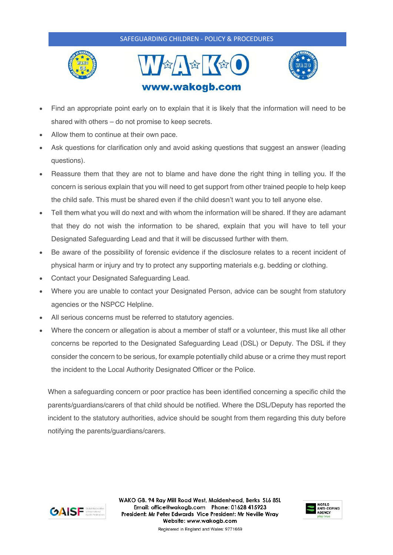





- Find an appropriate point early on to explain that it is likely that the information will need to be shared with others – do not promise to keep secrets.
- Allow them to continue at their own pace.
- Ask questions for clarification only and avoid asking questions that suggest an answer (leading questions).
- Reassure them that they are not to blame and have done the right thing in telling you. If the concern is serious explain that you will need to get support from other trained people to help keep the child safe. This must be shared even if the child doesn't want you to tell anyone else.
- Tell them what you will do next and with whom the information will be shared. If they are adamant that they do not wish the information to be shared, explain that you will have to tell your Designated Safeguarding Lead and that it will be discussed further with them.
- Be aware of the possibility of forensic evidence if the disclosure relates to a recent incident of physical harm or injury and try to protect any supporting materials e.g. bedding or clothing.
- Contact your Designated Safeguarding Lead.
- Where you are unable to contact your Designated Person, advice can be sought from statutory agencies or the NSPCC Helpline.
- All serious concerns must be referred to statutory agencies.
- Where the concern or allegation is about a member of staff or a volunteer, this must like all other concerns be reported to the Designated Safeguarding Lead (DSL) or Deputy. The DSL if they consider the concern to be serious, for example potentially child abuse or a crime they must report the incident to the Local Authority Designated Officer or the Police.

When a safeguarding concern or poor practice has been identified concerning a specific child the parents/guardians/carers of that child should be notified. Where the DSL/Deputy has reported the incident to the statutory authorities, advice should be sought from them regarding this duty before notifying the parents/guardians/carers.



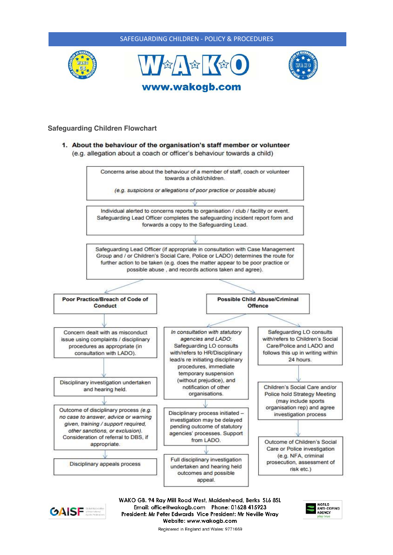







## **Safeguarding Children Flowchart**

1. About the behaviour of the organisation's staff member or volunteer (e.g. allegation about a coach or officer's behaviour towards a child)





WAKO GB. 94 Ray Mill Road West, Maidenhead, Berks SL6 8SL Email: office@wakogb.com Phone: 01628 415923 President: Mr Peter Edwards Vice President: Mr Neville Wray Website: www.wakogb.com



Registered in England and Wales: 9771669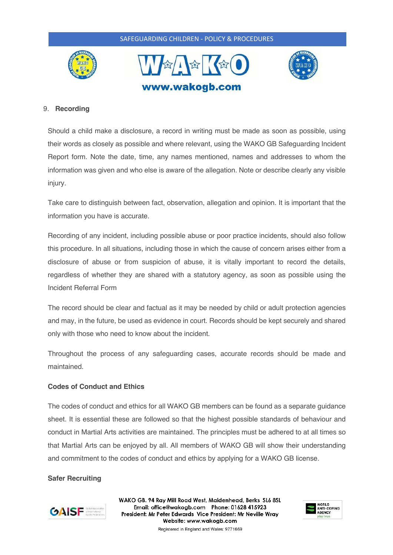





## 9. **Recording**

Should a child make a disclosure, a record in writing must be made as soon as possible, using their words as closely as possible and where relevant, using the WAKO GB Safeguarding Incident Report form. Note the date, time, any names mentioned, names and addresses to whom the information was given and who else is aware of the allegation. Note or describe clearly any visible injury.

Take care to distinguish between fact, observation, allegation and opinion. It is important that the information you have is accurate.

Recording of any incident, including possible abuse or poor practice incidents, should also follow this procedure. In all situations, including those in which the cause of concern arises either from a disclosure of abuse or from suspicion of abuse, it is vitally important to record the details, regardless of whether they are shared with a statutory agency, as soon as possible using the Incident Referral Form

The record should be clear and factual as it may be needed by child or adult protection agencies and may, in the future, be used as evidence in court. Records should be kept securely and shared only with those who need to know about the incident.

Throughout the process of any safeguarding cases, accurate records should be made and maintained.

## **Codes of Conduct and Ethics**

The codes of conduct and ethics for all WAKO GB members can be found as a separate guidance sheet. It is essential these are followed so that the highest possible standards of behaviour and conduct in Martial Arts activities are maintained. The principles must be adhered to at all times so that Martial Arts can be enjoyed by all. All members of WAKO GB will show their understanding and commitment to the codes of conduct and ethics by applying for a WAKO GB license.

### **Safer Recruiting**



WAKO GB. 94 Ray Mill Road West, Maidenhead, Berks SL6 8SL Email: office@wakogb.com Phone: 01628 415923 President: Mr Peter Edwards Vice President: Mr Neville Wray Website: www.wakogb.com



Registered in England and Wales: 9771669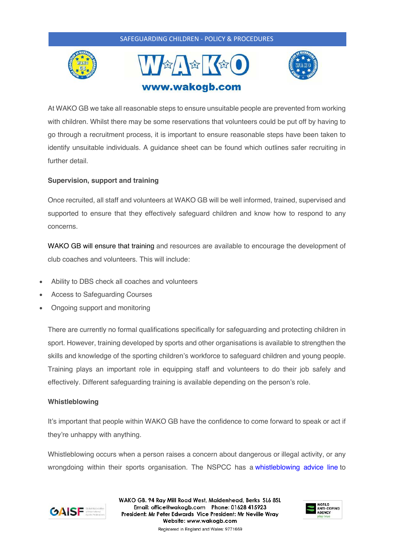





At WAKO GB we take all reasonable steps to ensure unsuitable people are prevented from working with children. Whilst there may be some reservations that volunteers could be put off by having to go through a recruitment process, it is important to ensure reasonable steps have been taken to identify unsuitable individuals. A guidance sheet can be found which outlines safer recruiting in further detail.

## **Supervision, support and training**

Once recruited, all staff and volunteers at WAKO GB will be well informed, trained, supervised and supported to ensure that they effectively safeguard children and know how to respond to any concerns.

WAKO GB will ensure that training and resources are available to encourage the development of club coaches and volunteers. This will include:

- Ability to DBS check all coaches and volunteers
- Access to Safeguarding Courses
- Ongoing support and monitoring

There are currently no formal qualifications specifically for safeguarding and protecting children in sport. However, training developed by sports and other organisations is available to strengthen the skills and knowledge of the sporting children's workforce to safeguard children and young people. Training plays an important role in equipping staff and volunteers to do their job safely and effectively. Different safeguarding training is available depending on the person's role.

### **Whistleblowing**

It's important that people within WAKO GB have the confidence to come forward to speak or act if they're unhappy with anything.

Whistleblowing occurs when a person raises a concern about dangerous or illegal activity, or any wrongdoing within their sports organisation. The NSPCC has a whistleblowing advice line to



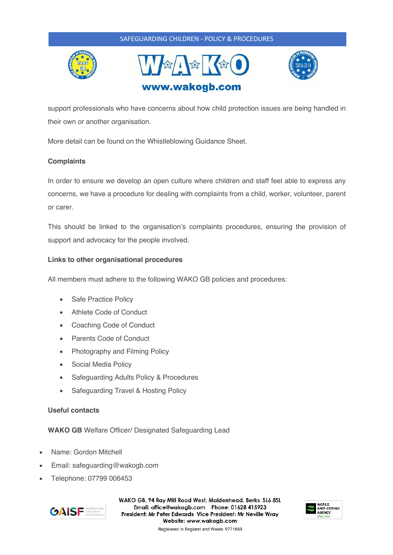





support professionals who have concerns about how child protection issues are being handled in their own or another organisation.

More detail can be found on the Whistleblowing Guidance Sheet.

## **Complaints**

In order to ensure we develop an open culture where children and staff feel able to express any concerns, we have a procedure for dealing with complaints from a child, worker, volunteer, parent or carer.

This should be linked to the organisation's complaints procedures, ensuring the provision of support and advocacy for the people involved.

## **Links to other organisational procedures**

All members must adhere to the following WAKO GB policies and procedures:

- Safe Practice Policy
- Athlete Code of Conduct
- Coaching Code of Conduct
- Parents Code of Conduct
- Photography and Filming Policy
- Social Media Policy
- Safeguarding Adults Policy & Procedures
- Safeguarding Travel & Hosting Policy

## **Useful contacts**

**WAKO GB** Welfare Officer/ Designated Safeguarding Lead

- Name: Gordon Mitchell
- Email: safeguarding@wakogb.com
- Telephone: 07799 006453